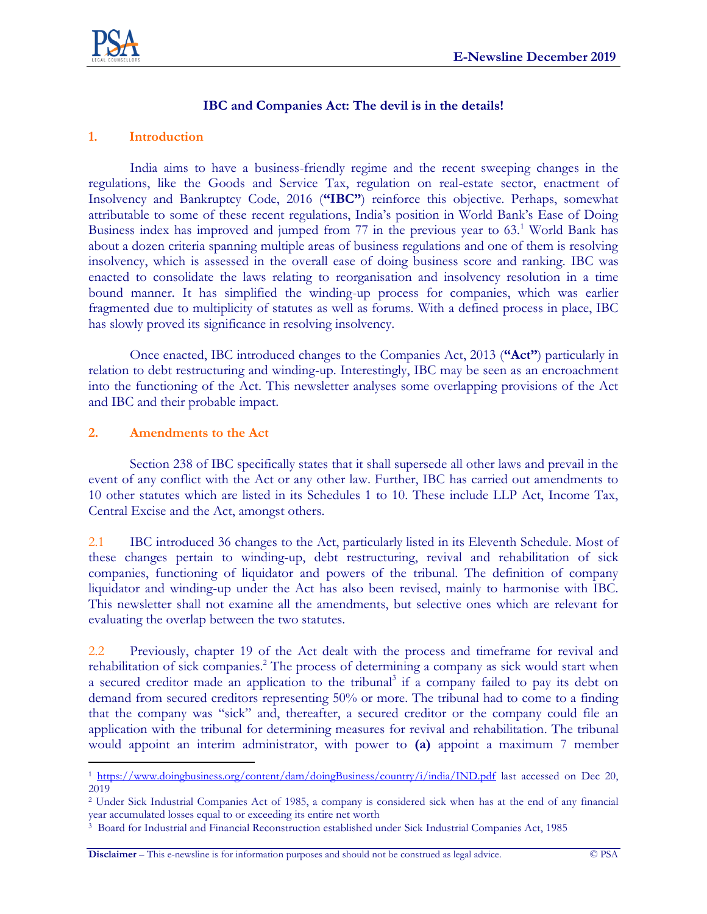

## **IBC and Companies Act: The devil is in the details!**

## **1. Introduction**

India aims to have a business-friendly regime and the recent sweeping changes in the regulations, like the Goods and Service Tax, regulation on real-estate sector, enactment of Insolvency and Bankruptcy Code, 2016 (**"IBC"**) reinforce this objective. Perhaps, somewhat attributable to some of these recent regulations, India's position in World Bank's Ease of Doing Business index has improved and jumped from  $77$  in the previous year to  $63<sup>1</sup>$  World Bank has about a dozen criteria spanning multiple areas of business regulations and one of them is resolving insolvency, which is assessed in the overall ease of doing business score and ranking. IBC was enacted to consolidate the laws relating to reorganisation and insolvency resolution in a time bound manner. It has simplified the winding-up process for companies, which was earlier fragmented due to multiplicity of statutes as well as forums. With a defined process in place, IBC has slowly proved its significance in resolving insolvency.

Once enacted, IBC introduced changes to the Companies Act, 2013 (**"Act"**) particularly in relation to debt restructuring and winding-up. Interestingly, IBC may be seen as an encroachment into the functioning of the Act. This newsletter analyses some overlapping provisions of the Act and IBC and their probable impact.

## **2. Amendments to the Act**

 $\overline{a}$ 

Section 238 of IBC specifically states that it shall supersede all other laws and prevail in the event of any conflict with the Act or any other law. Further, IBC has carried out amendments to 10 other statutes which are listed in its Schedules 1 to 10. These include LLP Act, Income Tax, Central Excise and the Act, amongst others.

2.1 IBC introduced 36 changes to the Act, particularly listed in its Eleventh Schedule. Most of these changes pertain to winding-up, debt restructuring, revival and rehabilitation of sick companies, functioning of liquidator and powers of the tribunal. The definition of company liquidator and winding-up under the Act has also been revised, mainly to harmonise with IBC. This newsletter shall not examine all the amendments, but selective ones which are relevant for evaluating the overlap between the two statutes.

2.2 Previously, chapter 19 of the Act dealt with the process and timeframe for revival and rehabilitation of sick companies.<sup>2</sup> The process of determining a company as sick would start when a secured creditor made an application to the tribunal<sup>3</sup> if a company failed to pay its debt on demand from secured creditors representing 50% or more. The tribunal had to come to a finding that the company was "sick" and, thereafter, a secured creditor or the company could file an application with the tribunal for determining measures for revival and rehabilitation. The tribunal would appoint an interim administrator, with power to **(a)** appoint a maximum 7 member

<sup>&</sup>lt;sup>1</sup> <https://www.doingbusiness.org/content/dam/doingBusiness/country/i/india/IND.pdf> last accessed on Dec 20, 2019

<sup>2</sup> Under Sick Industrial Companies Act of 1985, a company is considered sick when has at the end of any financial year accumulated losses equal to or exceeding its entire net worth

<sup>3</sup> Board for Industrial and Financial Reconstruction established under Sick Industrial Companies Act, 1985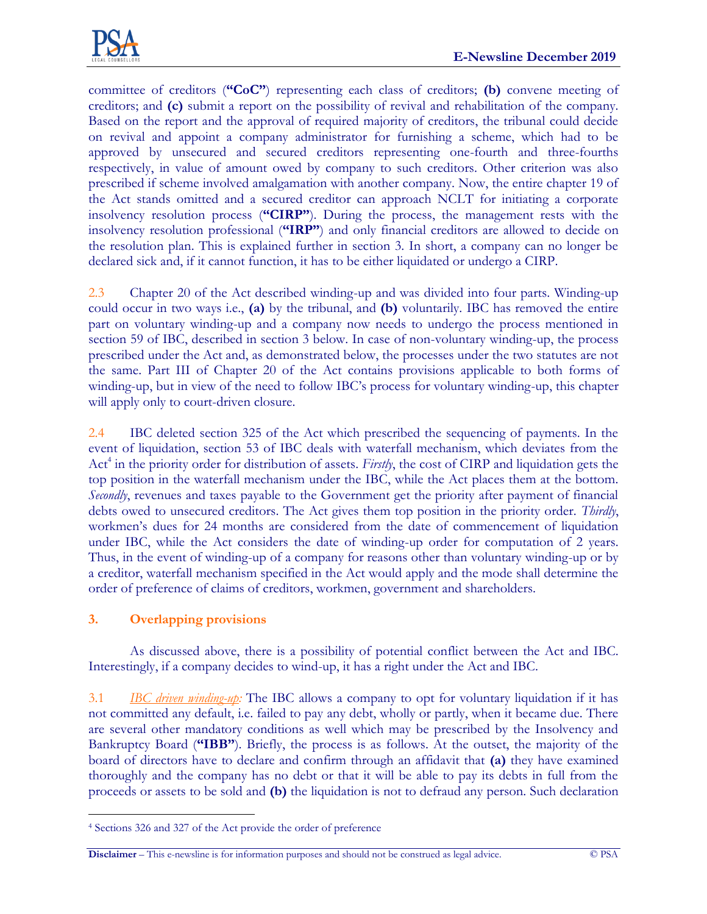

committee of creditors (**"CoC"**) representing each class of creditors; **(b)** convene meeting of creditors; and **(c)** submit a report on the possibility of revival and rehabilitation of the company. Based on the report and the approval of required majority of creditors, the tribunal could decide on revival and appoint a company administrator for furnishing a scheme, which had to be approved by unsecured and secured creditors representing one-fourth and three-fourths respectively, in value of amount owed by company to such creditors. Other criterion was also prescribed if scheme involved amalgamation with another company. Now, the entire chapter 19 of the Act stands omitted and a secured creditor can approach NCLT for initiating a corporate insolvency resolution process (**"CIRP"**). During the process, the management rests with the insolvency resolution professional (**"IRP"**) and only financial creditors are allowed to decide on the resolution plan. This is explained further in section 3. In short, a company can no longer be declared sick and, if it cannot function, it has to be either liquidated or undergo a CIRP.

2.3 Chapter 20 of the Act described winding-up and was divided into four parts. Winding-up could occur in two ways i.e., **(a)** by the tribunal, and **(b)** voluntarily. IBC has removed the entire part on voluntary winding-up and a company now needs to undergo the process mentioned in section 59 of IBC, described in section 3 below. In case of non-voluntary winding-up, the process prescribed under the Act and, as demonstrated below, the processes under the two statutes are not the same. Part III of Chapter 20 of the Act contains provisions applicable to both forms of winding-up, but in view of the need to follow IBC's process for voluntary winding-up, this chapter will apply only to court-driven closure.

2.4 IBC deleted section 325 of the Act which prescribed the sequencing of payments. In the event of liquidation, section 53 of IBC deals with waterfall mechanism, which deviates from the Act<sup>4</sup> in the priority order for distribution of assets. *Firstly*, the cost of CIRP and liquidation gets the top position in the waterfall mechanism under the IBC, while the Act places them at the bottom. *Secondly*, revenues and taxes payable to the Government get the priority after payment of financial debts owed to unsecured creditors. The Act gives them top position in the priority order. *Thirdly*, workmen's dues for 24 months are considered from the date of commencement of liquidation under IBC, while the Act considers the date of winding-up order for computation of 2 years. Thus, in the event of winding-up of a company for reasons other than voluntary winding-up or by a creditor, waterfall mechanism specified in the Act would apply and the mode shall determine the order of preference of claims of creditors, workmen, government and shareholders.

# **3. Overlapping provisions**

 $\overline{a}$ 

As discussed above, there is a possibility of potential conflict between the Act and IBC. Interestingly, if a company decides to wind-up, it has a right under the Act and IBC.

3.1 *IBC driven winding-up:* The IBC allows a company to opt for voluntary liquidation if it has not committed any default, i.e. failed to pay any debt, wholly or partly, when it became due. There are several other mandatory conditions as well which may be prescribed by the Insolvency and Bankruptcy Board (**"IBB"**). Briefly, the process is as follows. At the outset, the majority of the board of directors have to declare and confirm through an affidavit that **(a)** they have examined thoroughly and the company has no debt or that it will be able to pay its debts in full from the proceeds or assets to be sold and **(b)** the liquidation is not to defraud any person. Such declaration

<sup>4</sup> Sections 326 and 327 of the Act provide the order of preference

**Disclaimer** – This e-newsline is for information purposes and should not be construed as legal advice. © PSA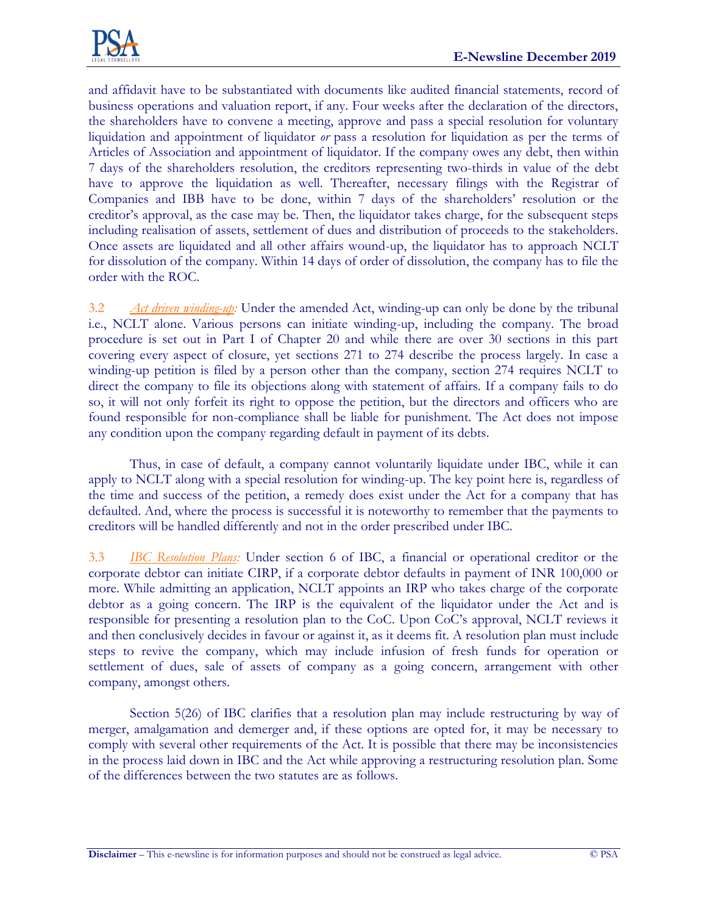

and affidavit have to be substantiated with documents like audited financial statements, record of business operations and valuation report, if any. Four weeks after the declaration of the directors, the shareholders have to convene a meeting, approve and pass a special resolution for voluntary liquidation and appointment of liquidator *or* pass a resolution for liquidation as per the terms of Articles of Association and appointment of liquidator. If the company owes any debt, then within 7 days of the shareholders resolution, the creditors representing two-thirds in value of the debt have to approve the liquidation as well. Thereafter, necessary filings with the Registrar of Companies and IBB have to be done, within 7 days of the shareholders' resolution or the creditor's approval, as the case may be. Then, the liquidator takes charge, for the subsequent steps including realisation of assets, settlement of dues and distribution of proceeds to the stakeholders. Once assets are liquidated and all other affairs wound-up, the liquidator has to approach NCLT for dissolution of the company. Within 14 days of order of dissolution, the company has to file the order with the ROC.

3.2 *Act driven winding-up:* Under the amended Act, winding-up can only be done by the tribunal i.e., NCLT alone. Various persons can initiate winding-up, including the company. The broad procedure is set out in Part I of Chapter 20 and while there are over 30 sections in this part covering every aspect of closure, yet sections 271 to 274 describe the process largely. In case a winding-up petition is filed by a person other than the company, section 274 requires NCLT to direct the company to file its objections along with statement of affairs. If a company fails to do so, it will not only forfeit its right to oppose the petition, but the directors and officers who are found responsible for non-compliance shall be liable for punishment. The Act does not impose any condition upon the company regarding default in payment of its debts.

Thus, in case of default, a company cannot voluntarily liquidate under IBC, while it can apply to NCLT along with a special resolution for winding-up. The key point here is, regardless of the time and success of the petition, a remedy does exist under the Act for a company that has defaulted. And, where the process is successful it is noteworthy to remember that the payments to creditors will be handled differently and not in the order prescribed under IBC.

3.3 *IBC Resolution Plans:* Under section 6 of IBC, a financial or operational creditor or the corporate debtor can initiate CIRP, if a corporate debtor defaults in payment of INR 100,000 or more. While admitting an application, NCLT appoints an IRP who takes charge of the corporate debtor as a going concern. The IRP is the equivalent of the liquidator under the Act and is responsible for presenting a resolution plan to the CoC. Upon CoC's approval, NCLT reviews it and then conclusively decides in favour or against it, as it deems fit. A resolution plan must include steps to revive the company, which may include infusion of fresh funds for operation or settlement of dues, sale of assets of company as a going concern, arrangement with other company, amongst others.

Section 5(26) of IBC clarifies that a resolution plan may include restructuring by way of merger, amalgamation and demerger and, if these options are opted for, it may be necessary to comply with several other requirements of the Act. It is possible that there may be inconsistencies in the process laid down in IBC and the Act while approving a restructuring resolution plan. Some of the differences between the two statutes are as follows.